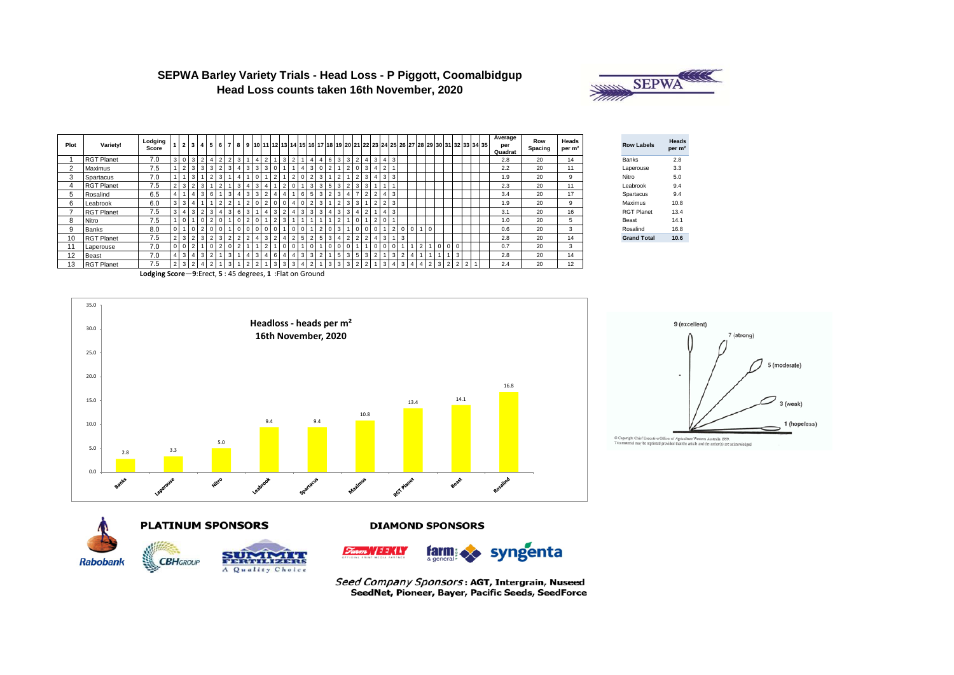

| SEPWA Barley Variety Trials - Head Loss - P Piggott, Coomalbidgup |
|-------------------------------------------------------------------|
| Head Loss counts taken 16th November, 2020                        |

| Plot | Variety!          | Lodging<br>Score |                |                |                |            |                |    |                |              |        |  |              |   |   |    |                |              |                |                | 2 3 4 5 6 7 8 9 10 11 12 13 14 15 16 17 18 19 20 21 22 23 24 25 26 27 28 29 30 31 32 33 34 35 |                          |     |            |                         |             |  |  |                |  | Average<br>per<br>Quadrat | Row<br>Spacing | Heads<br>per m <sup>2</sup> | <b>Row Labels</b>  | Head<br>per n |
|------|-------------------|------------------|----------------|----------------|----------------|------------|----------------|----|----------------|--------------|--------|--|--------------|---|---|----|----------------|--------------|----------------|----------------|-----------------------------------------------------------------------------------------------|--------------------------|-----|------------|-------------------------|-------------|--|--|----------------|--|---------------------------|----------------|-----------------------------|--------------------|---------------|
|      | <b>RGT Planet</b> | 7.0              |                | $3 \mid 0$     | 3              |            | 2              |    |                |              |        |  | ົ            |   |   | -4 | 6              |              | 3 <sup>1</sup> | $\overline{2}$ | 4 3 4 3                                                                                       |                          |     |            |                         |             |  |  |                |  | 2.8                       | 20             | 14                          | Banks              | 2.8           |
|      | Maximus           | 7.5              |                |                | 3              | 3          |                |    |                | 3            | 3      |  |              |   |   |    |                |              |                |                |                                                                                               | -4                       |     |            |                         |             |  |  |                |  | 2.2                       | 20             | 11                          | Laperouse          | 3.3           |
|      | Spartacus         | 7.0              |                |                | 3              |            |                |    |                |              |        |  |              |   |   | 3  |                |              |                |                |                                                                                               |                          |     | $3 \mid 3$ |                         |             |  |  |                |  | 1.9                       | 20             | 9                           | Nitro              | 5.0           |
|      | <b>RGT Planet</b> | 7.5              |                |                |                |            |                |    |                |              |        |  |              |   |   | 3  |                |              |                |                |                                                                                               |                          |     |            |                         |             |  |  |                |  | 2.3                       | 20             | 11                          | Leabrook           | 9.4           |
| 5    | Rosalind          | 6.5              |                |                |                | 6          |                |    | 3              | $\mathbf{3}$ | $\sim$ |  |              | 6 |   | 3  | $\overline{2}$ |              |                |                |                                                                                               | $\overline{\phantom{a}}$ |     | 413        |                         |             |  |  |                |  | 3.4                       | 20             | 17                          | Spartacus          | 9.4           |
| 6    | Leabrook          | 6.0              | $\overline{3}$ |                |                |            |                |    |                |              |        |  |              | 0 |   | 3  |                |              |                |                |                                                                                               |                          |     |            |                         |             |  |  |                |  | 1.9                       | 20             | 9                           | Maximus            | 10.8          |
|      | <b>RGT Planet</b> | 7.5              | 3 I            |                | 3              | 3          | $\overline{4}$ | 36 | 3              |              | 4      |  | 4            | 3 | 3 | 3  | $\overline{4}$ | <sup>3</sup> | 3              |                |                                                                                               |                          | 4 3 |            |                         |             |  |  |                |  | 3.1                       | 20             | 16                          | <b>RGT Planet</b>  | 13.4          |
| 8    | Nitro             | 7.5              |                |                |                |            |                |    |                |              |        |  |              |   |   |    |                |              |                |                |                                                                                               | -2                       |     |            |                         |             |  |  |                |  | 1.0                       | 20             | 5                           | Beast              | 14.1          |
| 9    | Banks             | 8.0              | $\circ$        |                |                |            |                |    |                |              |        |  | $\mathbf{0}$ | 0 |   |    |                |              |                |                |                                                                                               |                          |     |            |                         | $\mathbf 0$ |  |  |                |  | 0.6                       | 20             | 3                           | Rosalind           | 16.8          |
| 10   | <b>RGT Planet</b> | 7.5              | 2 <sub>1</sub> |                | $\overline{2}$ | C.         | 3              |    | $\overline{2}$ |              | 3      |  |              |   |   | 5  | -3             |              |                |                |                                                                                               |                          | 3   |            | $\overline{\mathbf{3}}$ |             |  |  |                |  | 2.8                       | 20             | 14                          | <b>Grand Total</b> | 10.6          |
|      | Laperouse         | 7.0              |                | 0 <sub>0</sub> | $\overline{2}$ | $^{\circ}$ |                |    |                |              |        |  |              |   |   |    |                |              |                |                |                                                                                               |                          |     |            |                         |             |  |  |                |  | 0.7                       | 20             | 3                           |                    |               |
| 12   | <b>Beast</b>      | 7.0              |                |                |                |            |                |    |                |              |        |  |              | 3 |   |    |                |              |                |                |                                                                                               |                          |     |            |                         |             |  |  | 3              |  | 2.8                       | 20             | 14                          |                    |               |
| 13   | <b>RGT Planet</b> | 7.5              |                |                |                |            |                |    |                |              |        |  |              |   |   |    |                |              |                |                |                                                                                               |                          |     |            |                         |             |  |  | $\overline{2}$ |  | 2.4                       | 20             | 12                          |                    |               |

| Heads<br>per m <sup>2</sup> | <b>Row Labels</b>  | Heads<br>per m <sup>2</sup> |
|-----------------------------|--------------------|-----------------------------|
| 14                          | <b>Banks</b>       | 2.8                         |
| 11                          | Laperouse          | 3.3                         |
| 9                           | Nitro              | 5.0                         |
| 11                          | Leabrook           | 9.4                         |
| 17                          | Spartacus          | 9.4                         |
| 9                           | Maximus            | 10.8                        |
| 16                          | <b>RGT Planet</b>  | 13.4                        |
| 5                           | Beast              | 14.1                        |
| 3                           | Rosalind           | 16.8                        |
| 14                          | <b>Grand Total</b> | 10.6                        |
|                             |                    |                             |

**Lodging Score**—**9**:Erect, **5** : 45 degrees, **1** :Flat on Ground









A Quality Choice

**DIAMOND SPONSORS** 



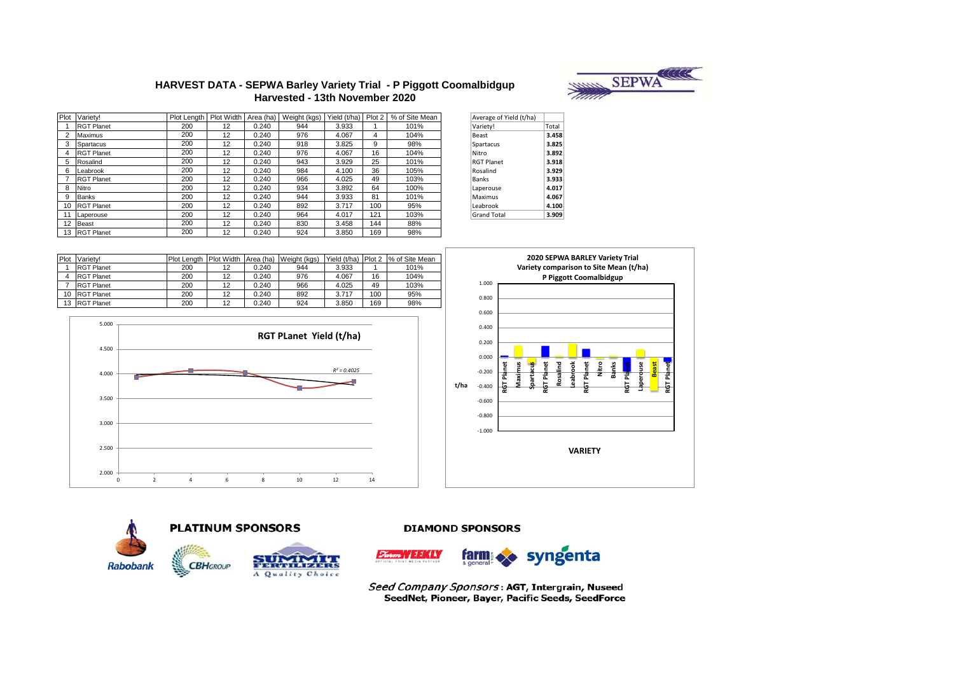

# **HARVEST DATA - SEPWA Barley Variety Trial - P Piggott Coomalbidgup Harvested - 13th November 2020**

| Plot | Variety!          | Plot Length | Plot Width | Area (ha) | Weight (kgs) | Yield (t/ha) | Plot 2 | % of Site Mean | Average of Yield (t/ha) |       |
|------|-------------------|-------------|------------|-----------|--------------|--------------|--------|----------------|-------------------------|-------|
|      | <b>RGT Planet</b> | 200         | 12         | 0.240     | 944          | 3.933        |        | 101%           | Variety!                | Total |
|      | Maximus           | 200         | 12         | 0.240     | 976          | 4.067        | 4      | 104%           | Beast                   | 3.458 |
|      | Spartacus         | 200         | 12         | 0.240     | 918          | 3.825        | 9      | 98%            | Spartacus               | 3.825 |
|      | <b>RGT Planet</b> | 200         | 12         | 0.240     | 976          | 4.067        | 16     | 104%           | Nitro                   | 3.892 |
| 5    | Rosalind          | 200         | 12         | 0.240     | 943          | 3.929        | 25     | 101%           | <b>RGT Planet</b>       | 3.918 |
| 6    | Leabrook          | 200         | 12         | 0.240     | 984          | 4.100        | 36     | 105%           | Rosalind                | 3.929 |
|      | <b>RGT Planet</b> | 200         | 12         | 0.240     | 966          | 4.025        | 49     | 103%           | Banks                   | 3.933 |
| 8    | Nitro             | 200         | 12         | 0.240     | 934          | 3.892        | 64     | 100%           | Laperouse               | 4.017 |
| 9    | Banks             | 200         | 12         | 0.240     | 944          | 3.933        | 81     | 101%           | Maximus                 | 4.067 |
| 10   | <b>RGT Planet</b> | 200         | 12         | 0.240     | 892          | 3.717        | 100    | 95%            | Leabrook                | 4.100 |
|      | Laperouse         | 200         | 12         | 0.240     | 964          | 4.017        | 121    | 103%           | <b>Grand Total</b>      | 3.909 |
| 12   | Beast             | 200         | 12         | 0.240     | 830          | 3.458        | 144    | 88%            |                         |       |
|      | 13 RGT Planet     | 200         | 12         | 0.240     | 924          | 3.850        | 169    | 98%            |                         |       |

| Average of Yield (t/ha) |       |
|-------------------------|-------|
| Variety!                | Total |
| Beast                   | 3.458 |
| Spartacus               | 3.825 |
| Nitro                   | 3.892 |
| <b>RGT Planet</b>       | 3.918 |
| Rosalind                | 3.929 |
| <b>Banks</b>            | 3.933 |
| Laperouse               | 4.017 |
| Maximus                 | 4.067 |
| Leabrook                | 4.100 |
| <b>Grand Total</b>      | 3.909 |

| Plot            | Variety!          | <b>Plot Lenath</b> | Plot Width Area (ha) |       | Weight (kgs) | Yield (t/ha) | Plot 2 | % of Site Mean |
|-----------------|-------------------|--------------------|----------------------|-------|--------------|--------------|--------|----------------|
|                 | <b>RGT Planet</b> | 200                | 12                   | 0.240 | 944          | 3.933        |        | 101%           |
| 4               | <b>RGT Planet</b> | 200                | 12                   | 0.240 | 976          | 4.067        | 16     | 104%           |
|                 | <b>RGT Planet</b> | 200                | 12                   | 0.240 | 966          | 4.025        | 49     | 103%           |
| 10 <sup>1</sup> | <b>RGT Planet</b> | 200                | 12                   | 0.240 | 892          | 3.717        | 100    | 95%            |
| 13              | <b>RGT Planet</b> | 200                | 12                   | 0.240 | 924          | 3.850        | 169    | 98%            |







**DIAMOND SPONSORS** 

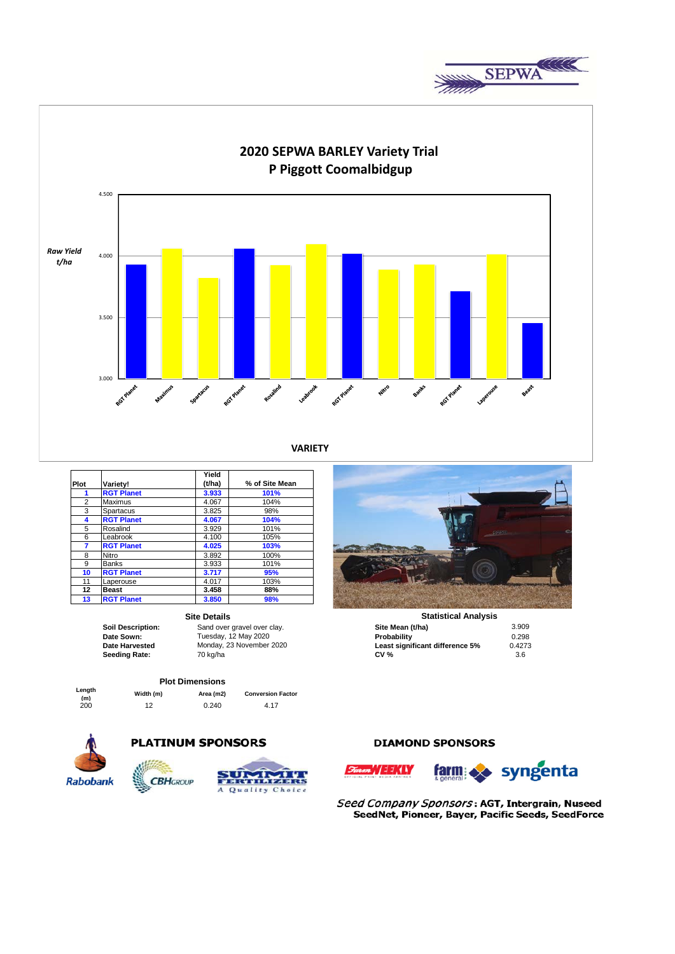



**VARIETY**

|      |                   | Yield  |                |
|------|-------------------|--------|----------------|
| Plot | Variety!          | (t/ha) | % of Site Mean |
| 1    | <b>RGT Planet</b> | 3.933  | 101%           |
| 2    | Maximus           | 4.067  | 104%           |
| 3    | Spartacus         | 3.825  | 98%            |
| 4    | <b>RGT Planet</b> | 4.067  | 104%           |
| 5    | Rosalind          | 3.929  | 101%           |
| 6    | Leabrook          | 4.100  | 105%           |
| 7    | <b>RGT Planet</b> | 4.025  | 103%           |
| 8    | Nitro             | 3.892  | 100%           |
| 9    | <b>Banks</b>      | 3.933  | 101%           |
| 10   | <b>RGT Planet</b> | 3.717  | 95%            |
| 11   | Laperouse         | 4.017  | 103%           |
| 12   | <b>Beast</b>      | 3.458  | 88%            |
| 13   | <b>RGT Planet</b> | 3.850  | 98%            |

### **Site Details**

## **Plot Dimensions**

**PLATINUM SPONSORS** 

| Length |  |
|--------|--|
| (m)    |  |
| 200    |  |

**(m) Width (m) Area (m2) Conversion Factor**  $0.240$ 

![](_page_2_Picture_12.jpeg)

![](_page_2_Picture_13.jpeg)

![](_page_2_Picture_14.jpeg)

|                       | <b>Site Details</b>         | <b>Statistical Analysis</b>     |        |
|-----------------------|-----------------------------|---------------------------------|--------|
| Soil Description:     | Sand over gravel over clay. | Site Mean (t/ha)                | 3.909  |
| Date Sown:            | Tuesday, 12 May 2020        | Probability                     | 0.298  |
| <b>Date Harvested</b> | Monday, 23 November 2020    | Least significant difference 5% | 0.4273 |
| Seeding Rate:         | 70 ka/ha                    | <b>CV %</b>                     | 3.6    |

# **DIAMOND SPONSORS**

![](_page_2_Picture_18.jpeg)

![](_page_2_Picture_19.jpeg)